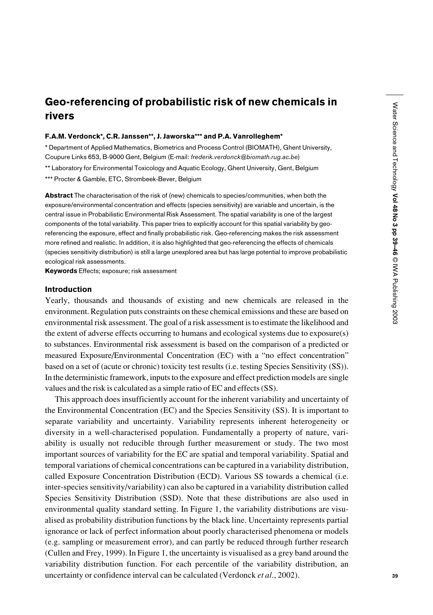# Geo-referencing of probabilistic risk of new chemicals in rivers

### F.A.M. Verdonck\*, C.R. Janssen\*\*, J. Jaworska\*\*\* and P.A. Vanrolleghem\*

\* Department of Applied Mathematics, Biometrics and Process Control (BIOMATH), Ghent University, Coupure Links 653, B-9000 Gent, Belgium (E-mail: *frederik.verdonck@biomath.rug.ac.be*) \*\* Laboratory for Environmental Toxicology and Aquatic Ecology, Ghent University, Gent, Belgium \*\*\* Procter & Gamble, ETC, Strombeek-Bever, Belgium

Abstract The characterisation of the risk of (new) chemicals to species/communities, when both the exposure/environmental concentration and effects (species sensitivity) are variable and uncertain, is the central issue in Probabilistic Environmental Risk Assessment. The spatial variability is one of the largest components of the total variability. This paper tries to explicitly account for this spatial variability by georeferencing the exposure, effect and finally probabilistic risk. Geo-referencing makes the risk assessment more refined and realistic. In addition, it is also highlighted that geo-referencing the effects of chemicals (species sensitivity distribution) is still a large unexplored area but has large potential to improve probabilistic ecological risk assessments.

Keywords Effects; exposure; risk assessment

## Introduction

Yearly, thousands and thousands of existing and new chemicals are released in the environment. Regulation puts constraints on these chemical emissions and these are based on environmental risk assessment. The goal of a risk assessment is to estimate the likelihood and the extent of adverse effects occurring to humans and ecological systems due to exposure(s) to substances. Environmental risk assessment is based on the comparison of a predicted or measured Exposure/Environmental Concentration (EC) with a "no effect concentration" based on a set of (acute or chronic) toxicity test results (i.e. testing Species Sensitivity (SS)). In the deterministic framework, inputs to the exposure and effect prediction models are single values and the risk is calculated as a simple ratio of EC and effects (SS).

This approach does insufficiently account for the inherent variability and uncertainty of the Environmental Concentration (EC) and the Species Sensitivity (SS). It is important to separate variability and uncertainty. Variability represents inherent heterogeneity or diversity in a well-characterised population. Fundamentally a property of nature, variability is usually not reducible through further measurement or study. The two most important sources of variability for the EC are spatial and temporal variability. Spatial and temporal variations of chemical concentrations can be captured in a variability distribution, called Exposure Concentration Distribution (ECD). Various SS towards a chemical (i.e. inter-species sensitivity/variability) can also be captured in a variability distribution called Species Sensitivity Distribution (SSD). Note that these distributions are also used in environmental quality standard setting. In Figure 1, the variability distributions are visualised as probability distribution functions by the black line. Uncertainty represents partial ignorance or lack of perfect information about poorly characterised phenomena or models (e.g. sampling or measurement error), and can partly be reduced through further research (Cullen and Frey, 1999). In Figure 1, the uncertainty is visualised as a grey band around the variability distribution function. For each percentile of the variability distribution, an uncertainty or confidence interval can be calculated (Verdonck *et al*., 2002).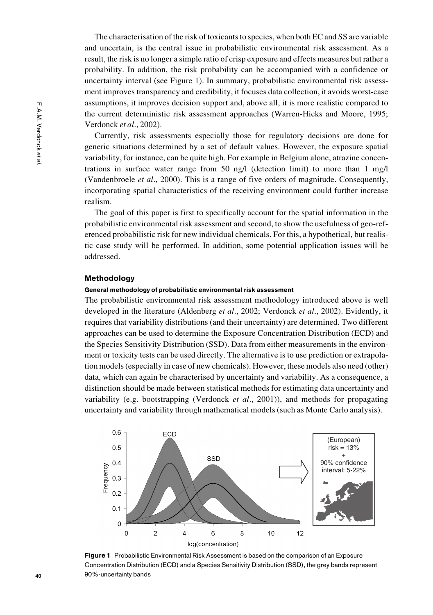The characterisation of the risk of toxicants to species, when both EC and SS are variable and uncertain, is the central issue in probabilistic environmental risk assessment. As a result, the risk is no longer a simple ratio of crisp exposure and effects measures but rather a probability. In addition, the risk probability can be accompanied with a confidence or uncertainty interval (see Figure 1). In summary, probabilistic environmental risk assessment improves transparency and credibility, it focuses data collection, it avoids worst-case assumptions, it improves decision support and, above all, it is more realistic compared to the current deterministic risk assessment approaches (Warren-Hicks and Moore, 1995; Verdonck *et al*., 2002).

Currently, risk assessments especially those for regulatory decisions are done for generic situations determined by a set of default values. However, the exposure spatial variability, for instance, can be quite high. For example in Belgium alone, atrazine concentrations in surface water range from 50 ng/l (detection limit) to more than 1 mg/l (Vandenbroele *et al*., 2000). This is a range of five orders of magnitude. Consequently, incorporating spatial characteristics of the receiving environment could further increase realism.

The goal of this paper is first to specifically account for the spatial information in the probabilistic environmental risk assessment and second, to show the usefulness of geo-referenced probabilistic risk for new individual chemicals. For this, a hypothetical, but realistic case study will be performed. In addition, some potential application issues will be addressed.

### Methodology

# General methodology of probabilistic environmental risk assessment

The probabilistic environmental risk assessment methodology introduced above is well developed in the literature (Aldenberg *et al*., 2002; Verdonck *et al*., 2002). Evidently, it requires that variability distributions (and their uncertainty) are determined. Two different approaches can be used to determine the Exposure Concentration Distribution (ECD) and the Species Sensitivity Distribution (SSD). Data from either measurements in the environment or toxicity tests can be used directly. The alternative is to use prediction or extrapolation models (especially in case of new chemicals). However, these models also need (other) data, which can again be characterised by uncertainty and variability. As a consequence, a distinction should be made between statistical methods for estimating data uncertainty and variability (e.g. bootstrapping (Verdonck *et al*., 2001)), and methods for propagating uncertainty and variability through mathematical models (such as Monte Carlo analysis).



**Figure 1** Probabilistic Environmental Risk Assessment is based on the comparison of an Exposure Concentration Distribution (ECD) and a Species Sensitivity Distribution (SSD), the grey bands represent 90%-uncertainty bands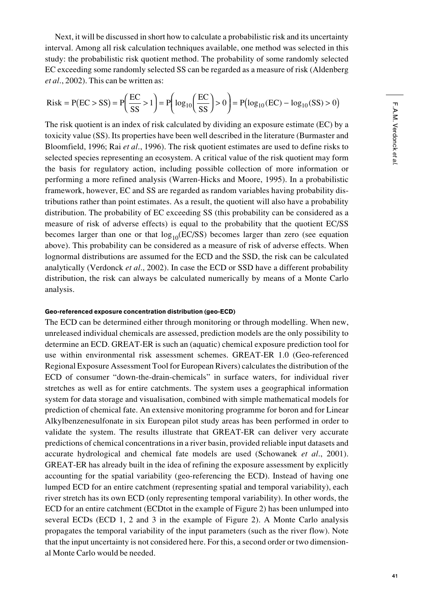Next, it will be discussed in short how to calculate a probabilistic risk and its uncertainty interval. Among all risk calculation techniques available, one method was selected in this study: the probabilistic risk quotient method. The probability of some randomly selected EC exceeding some randomly selected SS can be regarded as a measure of risk (Aldenberg *et al*., 2002). This can be written as:

Risk = P(EC > SS) = 
$$
P\left(\frac{EC}{SS} > 1\right)
$$
 =  $P\left(\log_{10}\left(\frac{EC}{SS}\right) > 0\right)$  =  $P(\log_{10}(EC) - \log_{10}(SS) > 0)$ 

The risk quotient is an index of risk calculated by dividing an exposure estimate (EC) by a toxicity value (SS). Its properties have been well described in the literature (Burmaster and Bloomfield, 1996; Rai *et al*., 1996). The risk quotient estimates are used to define risks to selected species representing an ecosystem. A critical value of the risk quotient may form the basis for regulatory action, including possible collection of more information or performing a more refined analysis (Warren-Hicks and Moore, 1995). In a probabilistic framework, however, EC and SS are regarded as random variables having probability distributions rather than point estimates. As a result, the quotient will also have a probability distribution. The probability of EC exceeding SS (this probability can be considered as a measure of risk of adverse effects) is equal to the probability that the quotient EC/SS becomes larger than one or that  $log_{10}(EC/SS)$  becomes larger than zero (see equation above). This probability can be considered as a measure of risk of adverse effects. When lognormal distributions are assumed for the ECD and the SSD, the risk can be calculated analytically (Verdonck *et al*., 2002). In case the ECD or SSD have a different probability distribution, the risk can always be calculated numerically by means of a Monte Carlo analysis.

## Geo-referenced exposure concentration distribution (geo-ECD)

The ECD can be determined either through monitoring or through modelling. When new, unreleased individual chemicals are assessed, prediction models are the only possibility to determine an ECD. GREAT-ER is such an (aquatic) chemical exposure prediction tool for use within environmental risk assessment schemes. GREAT-ER 1.0 (Geo-referenced Regional Exposure Assessment Tool for European Rivers) calculates the distribution of the ECD of consumer "down-the-drain-chemicals" in surface waters, for individual river stretches as well as for entire catchments. The system uses a geographical information system for data storage and visualisation, combined with simple mathematical models for prediction of chemical fate. An extensive monitoring programme for boron and for Linear Alkylbenzenesulfonate in six European pilot study areas has been performed in order to validate the system. The results illustrate that GREAT-ER can deliver very accurate predictions of chemical concentrations in a river basin, provided reliable input datasets and accurate hydrological and chemical fate models are used (Schowanek *et al*., 2001). GREAT-ER has already built in the idea of refining the exposure assessment by explicitly accounting for the spatial variability (geo-referencing the ECD). Instead of having one lumped ECD for an entire catchment (representing spatial and temporal variability), each river stretch has its own ECD (only representing temporal variability). In other words, the ECD for an entire catchment (ECDtot in the example of Figure 2) has been unlumped into several ECDs (ECD 1, 2 and 3 in the example of Figure 2). A Monte Carlo analysis propagates the temporal variability of the input parameters (such as the river flow). Note that the input uncertainty is not considered here. For this, a second order or two dimensional Monte Carlo would be needed.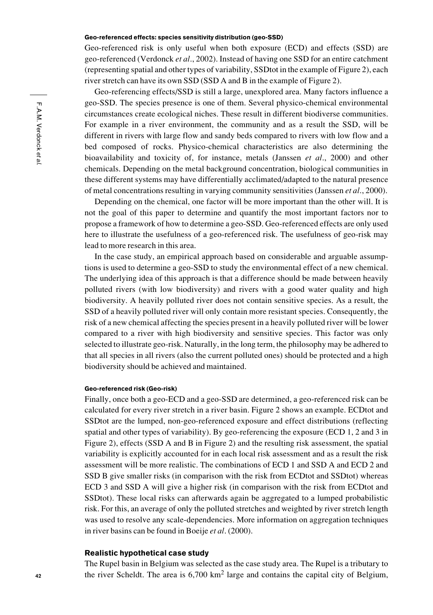## Geo-referenced effects: species sensitivity distribution (geo-SSD)

Geo-referenced risk is only useful when both exposure (ECD) and effects (SSD) are geo-referenced (Verdonck *et al*., 2002). Instead of having one SSD for an entire catchment (representing spatial and other types of variability, SSDtot in the example of Figure 2), each river stretch can have its own SSD (SSD A and B in the example of Figure 2).

Geo-referencing effects/SSD is still a large, unexplored area. Many factors influence a geo-SSD. The species presence is one of them. Several physico-chemical environmental circumstances create ecological niches. These result in different biodiverse communities. For example in a river environment, the community and as a result the SSD, will be different in rivers with large flow and sandy beds compared to rivers with low flow and a bed composed of rocks. Physico-chemical characteristics are also determining the bioavailability and toxicity of, for instance, metals (Janssen *et al*., 2000) and other chemicals. Depending on the metal background concentration, biological communities in these different systems may have differentially acclimated/adapted to the natural presence of metal concentrations resulting in varying community sensitivities (Janssen *et al*., 2000).

Depending on the chemical, one factor will be more important than the other will. It is not the goal of this paper to determine and quantify the most important factors nor to propose a framework of how to determine a geo-SSD. Geo-referenced effects are only used here to illustrate the usefulness of a geo-referenced risk. The usefulness of geo-risk may lead to more research in this area.

In the case study, an empirical approach based on considerable and arguable assumptions is used to determine a geo-SSD to study the environmental effect of a new chemical. The underlying idea of this approach is that a difference should be made between heavily polluted rivers (with low biodiversity) and rivers with a good water quality and high biodiversity. A heavily polluted river does not contain sensitive species. As a result, the SSD of a heavily polluted river will only contain more resistant species. Consequently, the risk of a new chemical affecting the species present in a heavily polluted river will be lower compared to a river with high biodiversity and sensitive species. This factor was only selected to illustrate geo-risk. Naturally, in the long term, the philosophy may be adhered to that all species in all rivers (also the current polluted ones) should be protected and a high biodiversity should be achieved and maintained.

## Geo-referenced risk (Geo-risk)

Finally, once both a geo-ECD and a geo-SSD are determined, a geo-referenced risk can be calculated for every river stretch in a river basin. Figure 2 shows an example. ECDtot and SSDtot are the lumped, non-geo-referenced exposure and effect distributions (reflecting spatial and other types of variability). By geo-referencing the exposure (ECD 1, 2 and 3 in Figure 2), effects (SSD A and B in Figure 2) and the resulting risk assessment, the spatial variability is explicitly accounted for in each local risk assessment and as a result the risk assessment will be more realistic. The combinations of ECD 1 and SSD A and ECD 2 and SSD B give smaller risks (in comparison with the risk from ECDtot and SSDtot) whereas ECD 3 and SSD A will give a higher risk (in comparison with the risk from ECDtot and SSDtot). These local risks can afterwards again be aggregated to a lumped probabilistic risk. For this, an average of only the polluted stretches and weighted by river stretch length was used to resolve any scale-dependencies. More information on aggregation techniques in river basins can be found in Boeije *et al*. (2000).

### Realistic hypothetical case study

The Rupel basin in Belgium was selected as the case study area. The Rupel is a tributary to the river Scheldt. The area is  $6,700 \text{ km}^2$  large and contains the capital city of Belgium,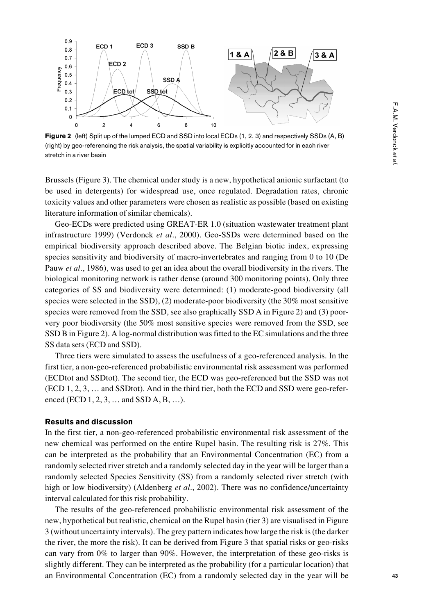

Figure 2 (left) Split up of the lumped ECD and SSD into local ECDs (1, 2, 3) and respectively SSDs (A, B) (right) by geo-referencing the risk analysis, the spatial variability is explicitly accounted for in each river stretch in a river basin

Brussels (Figure 3). The chemical under study is a new, hypothetical anionic surfactant (to be used in detergents) for widespread use, once regulated. Degradation rates, chronic toxicity values and other parameters were chosen as realistic as possible (based on existing literature information of similar chemicals).

Geo-ECDs were predicted using GREAT-ER 1.0 (situation wastewater treatment plant infrastructure 1999) (Verdonck *et al*., 2000). Geo-SSDs were determined based on the empirical biodiversity approach described above. The Belgian biotic index, expressing species sensitivity and biodiversity of macro-invertebrates and ranging from 0 to 10 (De Pauw *et al*., 1986), was used to get an idea about the overall biodiversity in the rivers. The biological monitoring network is rather dense (around 300 monitoring points). Only three categories of SS and biodiversity were determined: (1) moderate-good biodiversity (all species were selected in the SSD), (2) moderate-poor biodiversity (the 30% most sensitive species were removed from the SSD, see also graphically SSD A in Figure 2) and (3) poorvery poor biodiversity (the 50% most sensitive species were removed from the SSD, see SSD B in Figure 2). A log-normal distribution was fitted to the EC simulations and the three SS data sets (ECD and SSD).

Three tiers were simulated to assess the usefulness of a geo-referenced analysis. In the first tier, a non-geo-referenced probabilistic environmental risk assessment was performed (ECDtot and SSDtot). The second tier, the ECD was geo-referenced but the SSD was not (ECD 1, 2, 3, … and SSDtot). And in the third tier, both the ECD and SSD were geo-referenced (ECD 1, 2, 3, … and SSD A, B, …).

# Results and discussion

In the first tier, a non-geo-referenced probabilistic environmental risk assessment of the new chemical was performed on the entire Rupel basin. The resulting risk is 27%. This can be interpreted as the probability that an Environmental Concentration (EC) from a randomly selected river stretch and a randomly selected day in the year will be larger than a randomly selected Species Sensitivity (SS) from a randomly selected river stretch (with high or low biodiversity) (Aldenberg *et al*., 2002). There was no confidence/uncertainty interval calculated for this risk probability.

The results of the geo-referenced probabilistic environmental risk assessment of the new, hypothetical but realistic, chemical on the Rupel basin (tier 3) are visualised in Figure 3 (without uncertainty intervals). The grey pattern indicates how large the risk is (the darker the river, the more the risk). It can be derived from Figure 3 that spatial risks or geo-risks can vary from 0% to larger than 90%. However, the interpretation of these geo-risks is slightly different. They can be interpreted as the probability (for a particular location) that an Environmental Concentration (EC) from a randomly selected day in the year will be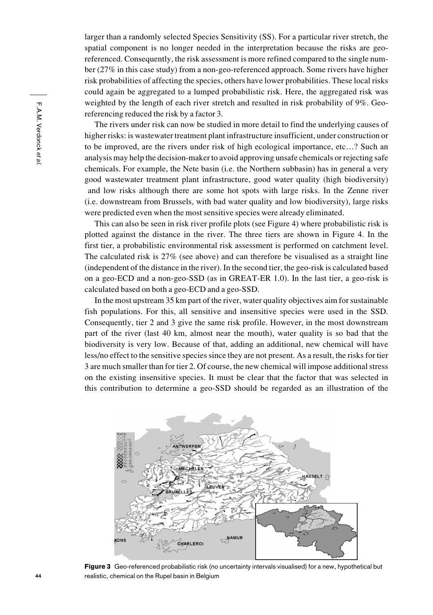larger than a randomly selected Species Sensitivity (SS). For a particular river stretch, the spatial component is no longer needed in the interpretation because the risks are georeferenced. Consequently, the risk assessment is more refined compared to the single number (27% in this case study) from a non-geo-referenced approach. Some rivers have higher risk probabilities of affecting the species, others have lower probabilities. These local risks could again be aggregated to a lumped probabilistic risk. Here, the aggregated risk was weighted by the length of each river stretch and resulted in risk probability of 9%. Georeferencing reduced the risk by a factor 3.

The rivers under risk can now be studied in more detail to find the underlying causes of higher risks: is wastewater treatment plant infrastructure insufficient, under construction or to be improved, are the rivers under risk of high ecological importance, etc…? Such an analysis may help the decision-maker to avoid approving unsafe chemicals or rejecting safe chemicals. For example, the Nete basin (i.e. the Northern subbasin) has in general a very good wastewater treatment plant infrastructure, good water quality (high biodiversity) and low risks although there are some hot spots with large risks. In the Zenne river (i.e. downstream from Brussels, with bad water quality and low biodiversity), large risks were predicted even when the most sensitive species were already eliminated.

This can also be seen in risk river profile plots (see Figure 4) where probabilistic risk is plotted against the distance in the river. The three tiers are shown in Figure 4. In the first tier, a probabilistic environmental risk assessment is performed on catchment level. The calculated risk is 27% (see above) and can therefore be visualised as a straight line (independent of the distance in the river). In the second tier, the geo-risk is calculated based on a geo-ECD and a non-geo-SSD (as in GREAT-ER 1.0). In the last tier, a geo-risk is calculated based on both a geo-ECD and a geo-SSD.

In the most upstream 35 km part of the river, water quality objectives aim for sustainable fish populations. For this, all sensitive and insensitive species were used in the SSD. Consequently, tier 2 and 3 give the same risk profile. However, in the most downstream part of the river (last 40 km, almost near the mouth), water quality is so bad that the biodiversity is very low. Because of that, adding an additional, new chemical will have less/no effect to the sensitive species since they are not present. As a result, the risks for tier 3 are much smaller than for tier 2. Of course, the new chemical will impose additional stress on the existing insensitive species. It must be clear that the factor that was selected in this contribution to determine a geo-SSD should be regarded as an illustration of the



Figure 3 Geo-referenced probabilistic risk (no uncertainty intervals visualised) for a new, hypothetical but realistic, chemical on the Rupel basin in Belgium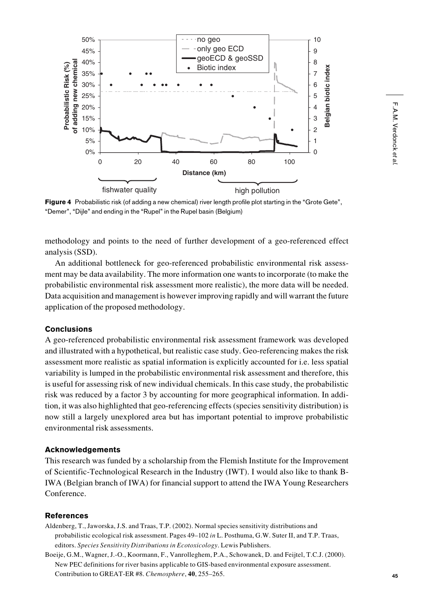

Figure 4 Probabilistic risk (of adding a new chemical) river length profile plot starting in the "Grote Gete", "Demer", "Dijle" and ending in the "Rupel" in the Rupel basin (Belgium)

methodology and points to the need of further development of a geo-referenced effect analysis (SSD).

An additional bottleneck for geo-referenced probabilistic environmental risk assessment may be data availability. The more information one wants to incorporate (to make the probabilistic environmental risk assessment more realistic), the more data will be needed. Data acquisition and management is however improving rapidly and will warrant the future application of the proposed methodology.

## **Conclusions**

A geo-referenced probabilistic environmental risk assessment framework was developed and illustrated with a hypothetical, but realistic case study. Geo-referencing makes the risk assessment more realistic as spatial information is explicitly accounted for i.e. less spatial variability is lumped in the probabilistic environmental risk assessment and therefore, this is useful for assessing risk of new individual chemicals. In this case study, the probabilistic risk was reduced by a factor 3 by accounting for more geographical information. In addition, it was also highlighted that geo-referencing effects (species sensitivity distribution) is now still a largely unexplored area but has important potential to improve probabilistic environmental risk assessments.

# Acknowledgements

This research was funded by a scholarship from the Flemish Institute for the Improvement of Scientific-Technological Research in the Industry (IWT). I would also like to thank B-IWA (Belgian branch of IWA) for financial support to attend the IWA Young Researchers Conference.

# References

Aldenberg, T., Jaworska, J.S. and Traas, T.P. (2002). Normal species sensitivity distributions and probabilistic ecological risk assessment. Pages 49–102 *in* L. Posthuma, G.W. Suter II, and T.P. Traas, editors. *Species Sensitivity Distributions in Ecotoxicology*. Lewis Publishers.

Boeije, G.M., Wagner, J.-O., Koormann, F., Vanrolleghem, P.A., Schowanek, D. and Feijtel, T.C.J. (2000). New PEC definitions for river basins applicable to GIS-based environmental exposure assessment. Contribution to GREAT-ER #8. *Chemosphere*, **40**, 255–265.